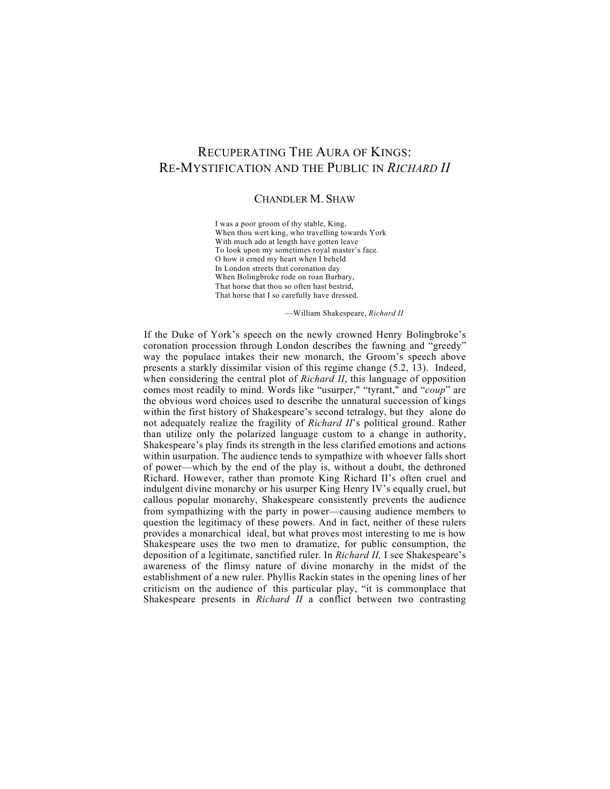## RECUPERATING THE AURA OF KINGS: RE-MYSTIFICATION AND THE PUBLIC IN *RICHARD II*

## CHANDLER M. SHAW

I was a poor groom of thy stable, King, When thou wert king, who travelling towards York With much ado at length have gotten leave To look upon my sometimes royal master's face. O how it erned my heart when I beheld In London streets that coronation day When Bolingbroke rode on roan Barbary, That horse that thou so often hast bestrid, That horse that I so carefully have dressed.

—William Shakespeare, *Richard II*

If the Duke of York's speech on the newly crowned Henry Bolingbroke's coronation procession through London describes the fawning and "greedy" way the populace intakes their new monarch, the Groom's speech above presents a starkly dissimilar vision of this regime change (5.2, 13). Indeed, when considering the central plot of *Richard II*, this language of opposition comes most readily to mind. Words like "usurper," "tyrant," and "*coup*" are the obvious word choices used to describe the unnatural succession of kings within the first history of Shakespeare's second tetralogy, but they alone do not adequately realize the fragility of *Richard II*'s political ground. Rather than utilize only the polarized language custom to a change in authority, Shakespeare's play finds its strength in the less clarified emotions and actions within usurpation. The audience tends to sympathize with whoever falls short of power—which by the end of the play is, without a doubt, the dethroned Richard. However, rather than promote King Richard II's often cruel and indulgent divine monarchy or his usurper King Henry IV's equally cruel, but callous popular monarchy, Shakespeare consistently prevents the audience from sympathizing with the party in power—causing audience members to question the legitimacy of these powers. And in fact, neither of these rulers provides a monarchical ideal, but what proves most interesting to me is how Shakespeare uses the two men to dramatize, for public consumption, the deposition of a legitimate, sanctified ruler. In *Richard II,* I see Shakespeare's awareness of the flimsy nature of divine monarchy in the midst of the establishment of a new ruler. Phyllis Rackin states in the opening lines of her criticism on the audience of this particular play, "it is commonplace that Shakespeare presents in *Richard II* a conflict between two contrasting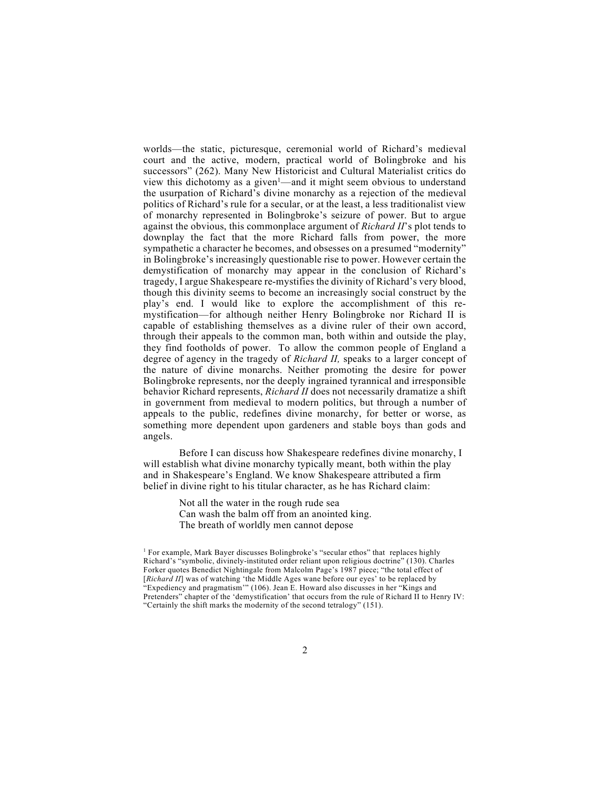worlds—the static, picturesque, ceremonial world of Richard's medieval court and the active, modern, practical world of Bolingbroke and his successors" (262). Many New Historicist and Cultural Materialist critics do view this dichotomy as a given<sup>1</sup>—and it might seem obvious to understand the usurpation of Richard's divine monarchy as a rejection of the medieval politics of Richard's rule for a secular, or at the least, a less traditionalist view of monarchy represented in Bolingbroke's seizure of power. But to argue against the obvious, this commonplace argument of *Richard II*'s plot tends to downplay the fact that the more Richard falls from power, the more sympathetic a character he becomes, and obsesses on a presumed "modernity" in Bolingbroke's increasingly questionable rise to power. However certain the demystification of monarchy may appear in the conclusion of Richard's tragedy, I argue Shakespeare re-mystifies the divinity of Richard's very blood, though this divinity seems to become an increasingly social construct by the play's end. I would like to explore the accomplishment of this remystification—for although neither Henry Bolingbroke nor Richard II is capable of establishing themselves as a divine ruler of their own accord, through their appeals to the common man, both within and outside the play, they find footholds of power. To allow the common people of England a degree of agency in the tragedy of *Richard II,* speaks to a larger concept of the nature of divine monarchs. Neither promoting the desire for power Bolingbroke represents, nor the deeply ingrained tyrannical and irresponsible behavior Richard represents, *Richard II* does not necessarily dramatize a shift in government from medieval to modern politics, but through a number of appeals to the public, redefines divine monarchy, for better or worse, as something more dependent upon gardeners and stable boys than gods and angels.

Before I can discuss how Shakespeare redefines divine monarchy, I will establish what divine monarchy typically meant, both within the play and in Shakespeare's England. We know Shakespeare attributed a firm belief in divine right to his titular character, as he has Richard claim:

> Not all the water in the rough rude sea Can wash the balm off from an anointed king. The breath of worldly men cannot depose

<sup>&</sup>lt;sup>1</sup> For example, Mark Bayer discusses Bolingbroke's "secular ethos" that replaces highly Richard's "symbolic, divinely-instituted order reliant upon religious doctrine" (130). Charles Forker quotes Benedict Nightingale from Malcolm Page's 1987 piece; "the total effect of [*Richard II*] was of watching 'the Middle Ages wane before our eyes' to be replaced by "Expediency and pragmatism'" (106). Jean E. Howard also discusses in her "Kings and Pretenders" chapter of the 'demystification' that occurs from the rule of Richard II to Henry IV: "Certainly the shift marks the modernity of the second tetralogy" (151).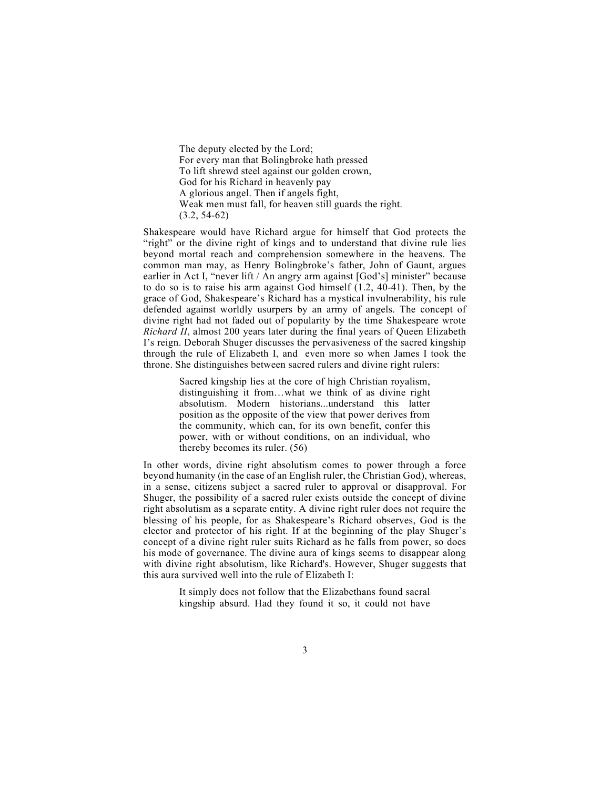The deputy elected by the Lord; For every man that Bolingbroke hath pressed To lift shrewd steel against our golden crown, God for his Richard in heavenly pay A glorious angel. Then if angels fight, Weak men must fall, for heaven still guards the right. (3.2, 54-62)

Shakespeare would have Richard argue for himself that God protects the "right" or the divine right of kings and to understand that divine rule lies beyond mortal reach and comprehension somewhere in the heavens. The common man may, as Henry Bolingbroke's father, John of Gaunt, argues earlier in Act I, "never lift / An angry arm against [God's] minister" because to do so is to raise his arm against God himself  $(1.2, 40-41)$ . Then, by the grace of God, Shakespeare's Richard has a mystical invulnerability, his rule defended against worldly usurpers by an army of angels. The concept of divine right had not faded out of popularity by the time Shakespeare wrote *Richard II*, almost 200 years later during the final years of Queen Elizabeth I's reign. Deborah Shuger discusses the pervasiveness of the sacred kingship through the rule of Elizabeth I, and even more so when James I took the throne. She distinguishes between sacred rulers and divine right rulers:

> Sacred kingship lies at the core of high Christian royalism, distinguishing it from…what we think of as divine right absolutism. Modern historians...understand this latter position as the opposite of the view that power derives from the community, which can, for its own benefit, confer this power, with or without conditions, on an individual, who thereby becomes its ruler. (56)

In other words, divine right absolutism comes to power through a force beyond humanity (in the case of an English ruler, the Christian God), whereas, in a sense, citizens subject a sacred ruler to approval or disapproval. For Shuger, the possibility of a sacred ruler exists outside the concept of divine right absolutism as a separate entity. A divine right ruler does not require the blessing of his people, for as Shakespeare's Richard observes, God is the elector and protector of his right. If at the beginning of the play Shuger's concept of a divine right ruler suits Richard as he falls from power, so does his mode of governance. The divine aura of kings seems to disappear along with divine right absolutism, like Richard's. However, Shuger suggests that this aura survived well into the rule of Elizabeth I:

> It simply does not follow that the Elizabethans found sacral kingship absurd. Had they found it so, it could not have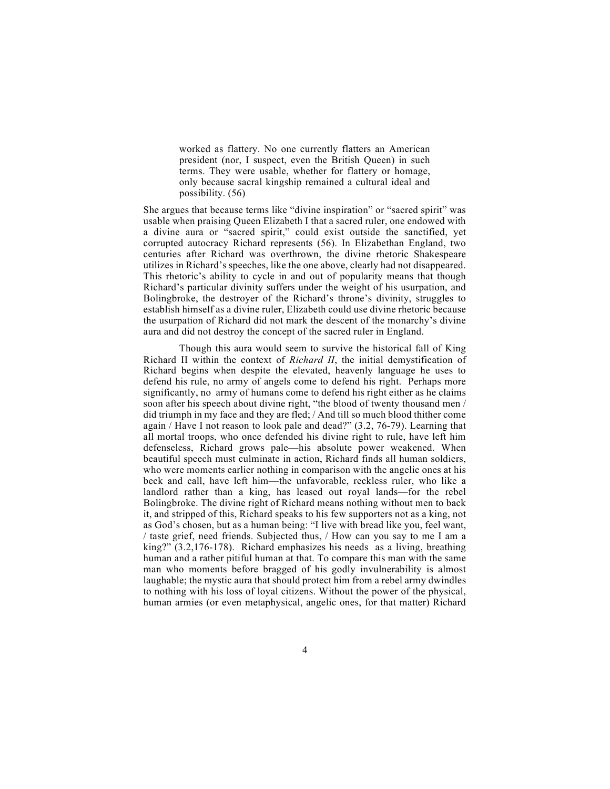worked as flattery. No one currently flatters an American president (nor, I suspect, even the British Queen) in such terms. They were usable, whether for flattery or homage, only because sacral kingship remained a cultural ideal and possibility. (56)

She argues that because terms like "divine inspiration" or "sacred spirit" was usable when praising Queen Elizabeth I that a sacred ruler, one endowed with a divine aura or "sacred spirit," could exist outside the sanctified, yet corrupted autocracy Richard represents (56). In Elizabethan England, two centuries after Richard was overthrown, the divine rhetoric Shakespeare utilizes in Richard's speeches, like the one above, clearly had not disappeared. This rhetoric's ability to cycle in and out of popularity means that though Richard's particular divinity suffers under the weight of his usurpation, and Bolingbroke, the destroyer of the Richard's throne's divinity, struggles to establish himself as a divine ruler, Elizabeth could use divine rhetoric because the usurpation of Richard did not mark the descent of the monarchy's divine aura and did not destroy the concept of the sacred ruler in England.

Though this aura would seem to survive the historical fall of King Richard II within the context of *Richard II*, the initial demystification of Richard begins when despite the elevated, heavenly language he uses to defend his rule, no army of angels come to defend his right. Perhaps more significantly, no army of humans come to defend his right either as he claims soon after his speech about divine right, "the blood of twenty thousand men / did triumph in my face and they are fled; / And till so much blood thither come again / Have I not reason to look pale and dead?" (3.2, 76-79). Learning that all mortal troops, who once defended his divine right to rule, have left him defenseless, Richard grows pale—his absolute power weakened. When beautiful speech must culminate in action, Richard finds all human soldiers, who were moments earlier nothing in comparison with the angelic ones at his beck and call, have left him—the unfavorable, reckless ruler, who like a landlord rather than a king, has leased out royal lands—for the rebel Bolingbroke. The divine right of Richard means nothing without men to back it, and stripped of this, Richard speaks to his few supporters not as a king, not as God's chosen, but as a human being: "I live with bread like you, feel want, / taste grief, need friends. Subjected thus, / How can you say to me I am a king?" (3.2,176-178). Richard emphasizes his needs as a living, breathing human and a rather pitiful human at that. To compare this man with the same man who moments before bragged of his godly invulnerability is almost laughable; the mystic aura that should protect him from a rebel army dwindles to nothing with his loss of loyal citizens. Without the power of the physical, human armies (or even metaphysical, angelic ones, for that matter) Richard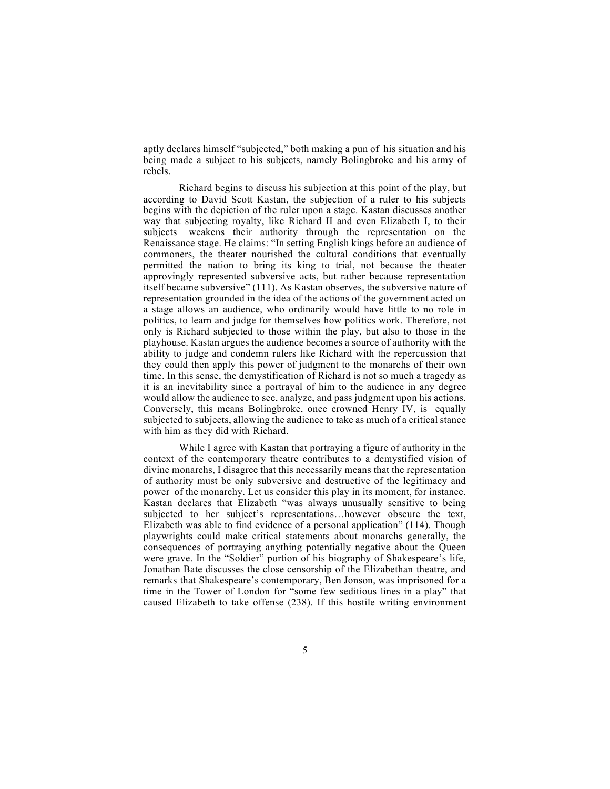aptly declares himself "subjected," both making a pun of his situation and his being made a subject to his subjects, namely Bolingbroke and his army of rebels.

Richard begins to discuss his subjection at this point of the play, but according to David Scott Kastan, the subjection of a ruler to his subjects begins with the depiction of the ruler upon a stage. Kastan discusses another way that subjecting royalty, like Richard II and even Elizabeth I, to their subjects weakens their authority through the representation on the Renaissance stage. He claims: "In setting English kings before an audience of commoners, the theater nourished the cultural conditions that eventually permitted the nation to bring its king to trial, not because the theater approvingly represented subversive acts, but rather because representation itself became subversive" (111). As Kastan observes, the subversive nature of representation grounded in the idea of the actions of the government acted on a stage allows an audience, who ordinarily would have little to no role in politics, to learn and judge for themselves how politics work. Therefore, not only is Richard subjected to those within the play, but also to those in the playhouse. Kastan argues the audience becomes a source of authority with the ability to judge and condemn rulers like Richard with the repercussion that they could then apply this power of judgment to the monarchs of their own time. In this sense, the demystification of Richard is not so much a tragedy as it is an inevitability since a portrayal of him to the audience in any degree would allow the audience to see, analyze, and pass judgment upon his actions. Conversely, this means Bolingbroke, once crowned Henry IV, is equally subjected to subjects, allowing the audience to take as much of a critical stance with him as they did with Richard.

While I agree with Kastan that portraying a figure of authority in the context of the contemporary theatre contributes to a demystified vision of divine monarchs, I disagree that this necessarily means that the representation of authority must be only subversive and destructive of the legitimacy and power of the monarchy. Let us consider this play in its moment, for instance. Kastan declares that Elizabeth "was always unusually sensitive to being subjected to her subject's representations…however obscure the text, Elizabeth was able to find evidence of a personal application" (114). Though playwrights could make critical statements about monarchs generally, the consequences of portraying anything potentially negative about the Queen were grave. In the "Soldier" portion of his biography of Shakespeare's life, Jonathan Bate discusses the close censorship of the Elizabethan theatre, and remarks that Shakespeare's contemporary, Ben Jonson, was imprisoned for a time in the Tower of London for "some few seditious lines in a play" that caused Elizabeth to take offense (238). If this hostile writing environment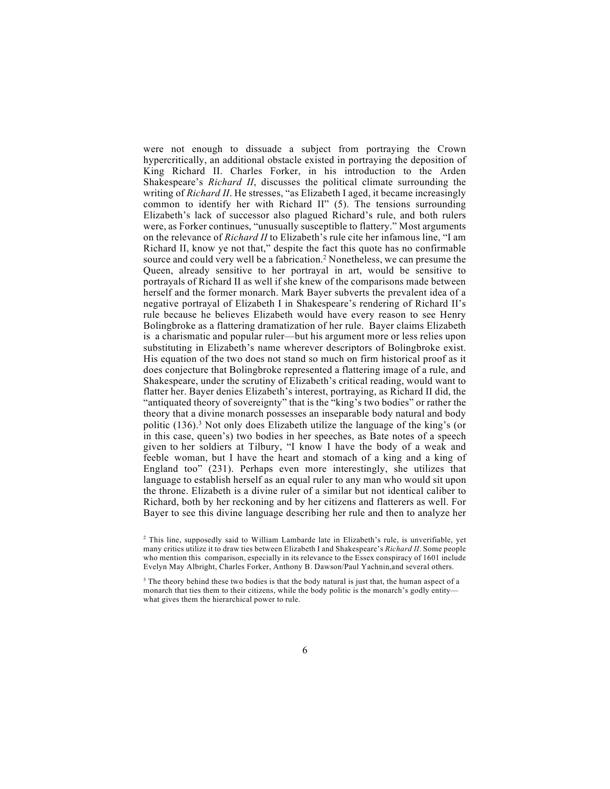were not enough to dissuade a subject from portraying the Crown hypercritically, an additional obstacle existed in portraying the deposition of King Richard II. Charles Forker, in his introduction to the Arden Shakespeare's *Richard II*, discusses the political climate surrounding the writing of *Richard II*. He stresses, "as Elizabeth I aged, it became increasingly common to identify her with Richard II" (5). The tensions surrounding Elizabeth's lack of successor also plagued Richard's rule, and both rulers were, as Forker continues, "unusually susceptible to flattery." Most arguments on the relevance of *Richard II* to Elizabeth's rule cite her infamous line, "I am Richard II, know ye not that," despite the fact this quote has no confirmable source and could very well be a fabrication.2 Nonetheless, we can presume the Queen, already sensitive to her portrayal in art, would be sensitive to portrayals of Richard II as well if she knew of the comparisons made between herself and the former monarch. Mark Bayer subverts the prevalent idea of a negative portrayal of Elizabeth I in Shakespeare's rendering of Richard II's rule because he believes Elizabeth would have every reason to see Henry Bolingbroke as a flattering dramatization of her rule. Bayer claims Elizabeth is a charismatic and popular ruler—but his argument more or less relies upon substituting in Elizabeth's name wherever descriptors of Bolingbroke exist. His equation of the two does not stand so much on firm historical proof as it does conjecture that Bolingbroke represented a flattering image of a rule, and Shakespeare, under the scrutiny of Elizabeth's critical reading, would want to flatter her. Bayer denies Elizabeth's interest, portraying, as Richard II did, the "antiquated theory of sovereignty" that is the "king's two bodies" or rather the theory that a divine monarch possesses an inseparable body natural and body politic (136).3 Not only does Elizabeth utilize the language of the king's (or in this case, queen's) two bodies in her speeches, as Bate notes of a speech given to her soldiers at Tilbury, "I know I have the body of a weak and feeble woman, but I have the heart and stomach of a king and a king of England too" (231). Perhaps even more interestingly, she utilizes that language to establish herself as an equal ruler to any man who would sit upon the throne. Elizabeth is a divine ruler of a similar but not identical caliber to Richard, both by her reckoning and by her citizens and flatterers as well. For Bayer to see this divine language describing her rule and then to analyze her

 $2$  This line, supposedly said to William Lambarde late in Elizabeth's rule, is unverifiable, yet many critics utilize it to draw ties between Elizabeth I and Shakespeare's *Richard II*. Some people who mention this comparison, especially in its relevance to the Essex conspiracy of 1601 include Evelyn May Albright, Charles Forker, Anthony B. Dawson/Paul Yachnin,and several others.

<sup>&</sup>lt;sup>3</sup> The theory behind these two bodies is that the body natural is just that, the human aspect of a monarch that ties them to their citizens, while the body politic is the monarch's godly entity what gives them the hierarchical power to rule.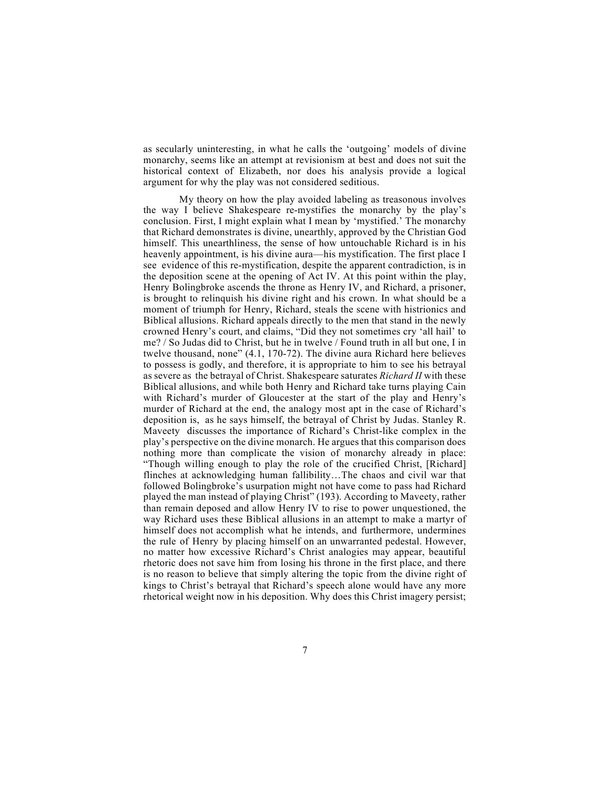as secularly uninteresting, in what he calls the 'outgoing' models of divine monarchy, seems like an attempt at revisionism at best and does not suit the historical context of Elizabeth, nor does his analysis provide a logical argument for why the play was not considered seditious.

My theory on how the play avoided labeling as treasonous involves the way I believe Shakespeare re-mystifies the monarchy by the play's conclusion. First, I might explain what I mean by 'mystified.' The monarchy that Richard demonstrates is divine, unearthly, approved by the Christian God himself. This unearthliness, the sense of how untouchable Richard is in his heavenly appointment, is his divine aura—his mystification. The first place I see evidence of this re-mystification, despite the apparent contradiction, is in the deposition scene at the opening of Act IV. At this point within the play, Henry Bolingbroke ascends the throne as Henry IV, and Richard, a prisoner, is brought to relinquish his divine right and his crown. In what should be a moment of triumph for Henry, Richard, steals the scene with histrionics and Biblical allusions. Richard appeals directly to the men that stand in the newly crowned Henry's court, and claims, "Did they not sometimes cry 'all hail' to me? / So Judas did to Christ, but he in twelve / Found truth in all but one, I in twelve thousand, none" (4.1, 170-72). The divine aura Richard here believes to possess is godly, and therefore, it is appropriate to him to see his betrayal as severe as the betrayal of Christ. Shakespeare saturates *Richard II* with these Biblical allusions, and while both Henry and Richard take turns playing Cain with Richard's murder of Gloucester at the start of the play and Henry's murder of Richard at the end, the analogy most apt in the case of Richard's deposition is, as he says himself, the betrayal of Christ by Judas. Stanley R. Maveety discusses the importance of Richard's Christ-like complex in the play's perspective on the divine monarch. He argues that this comparison does nothing more than complicate the vision of monarchy already in place: "Though willing enough to play the role of the crucified Christ, [Richard] flinches at acknowledging human fallibility…The chaos and civil war that followed Bolingbroke's usurpation might not have come to pass had Richard played the man instead of playing Christ" (193). According to Maveety, rather than remain deposed and allow Henry IV to rise to power unquestioned, the way Richard uses these Biblical allusions in an attempt to make a martyr of himself does not accomplish what he intends, and furthermore, undermines the rule of Henry by placing himself on an unwarranted pedestal. However, no matter how excessive Richard's Christ analogies may appear, beautiful rhetoric does not save him from losing his throne in the first place, and there is no reason to believe that simply altering the topic from the divine right of kings to Christ's betrayal that Richard's speech alone would have any more rhetorical weight now in his deposition. Why does this Christ imagery persist;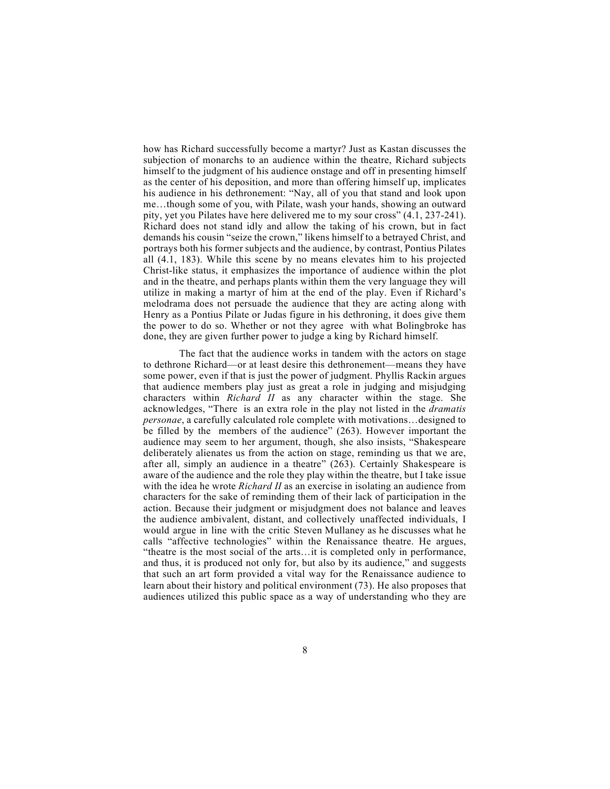how has Richard successfully become a martyr? Just as Kastan discusses the subjection of monarchs to an audience within the theatre, Richard subjects himself to the judgment of his audience onstage and off in presenting himself as the center of his deposition, and more than offering himself up, implicates his audience in his dethronement: "Nay, all of you that stand and look upon me…though some of you, with Pilate, wash your hands, showing an outward pity, yet you Pilates have here delivered me to my sour cross" (4.1, 237-241). Richard does not stand idly and allow the taking of his crown, but in fact demands his cousin "seize the crown," likens himself to a betrayed Christ, and portrays both his former subjects and the audience, by contrast, Pontius Pilates all (4.1, 183). While this scene by no means elevates him to his projected Christ-like status, it emphasizes the importance of audience within the plot and in the theatre, and perhaps plants within them the very language they will utilize in making a martyr of him at the end of the play. Even if Richard's melodrama does not persuade the audience that they are acting along with Henry as a Pontius Pilate or Judas figure in his dethroning, it does give them the power to do so. Whether or not they agree with what Bolingbroke has done, they are given further power to judge a king by Richard himself.

The fact that the audience works in tandem with the actors on stage to dethrone Richard—or at least desire this dethronement—means they have some power, even if that is just the power of judgment. Phyllis Rackin argues that audience members play just as great a role in judging and misjudging characters within *Richard II* as any character within the stage. She acknowledges, "There is an extra role in the play not listed in the *dramatis personae*, a carefully calculated role complete with motivations…designed to be filled by the members of the audience" (263). However important the audience may seem to her argument, though, she also insists, "Shakespeare deliberately alienates us from the action on stage, reminding us that we are, after all, simply an audience in a theatre" (263). Certainly Shakespeare is aware of the audience and the role they play within the theatre, but I take issue with the idea he wrote *Richard II* as an exercise in isolating an audience from characters for the sake of reminding them of their lack of participation in the action. Because their judgment or misjudgment does not balance and leaves the audience ambivalent, distant, and collectively unaffected individuals, I would argue in line with the critic Steven Mullaney as he discusses what he calls "affective technologies" within the Renaissance theatre. He argues, "theatre is the most social of the arts…it is completed only in performance, and thus, it is produced not only for, but also by its audience," and suggests that such an art form provided a vital way for the Renaissance audience to learn about their history and political environment (73). He also proposes that audiences utilized this public space as a way of understanding who they are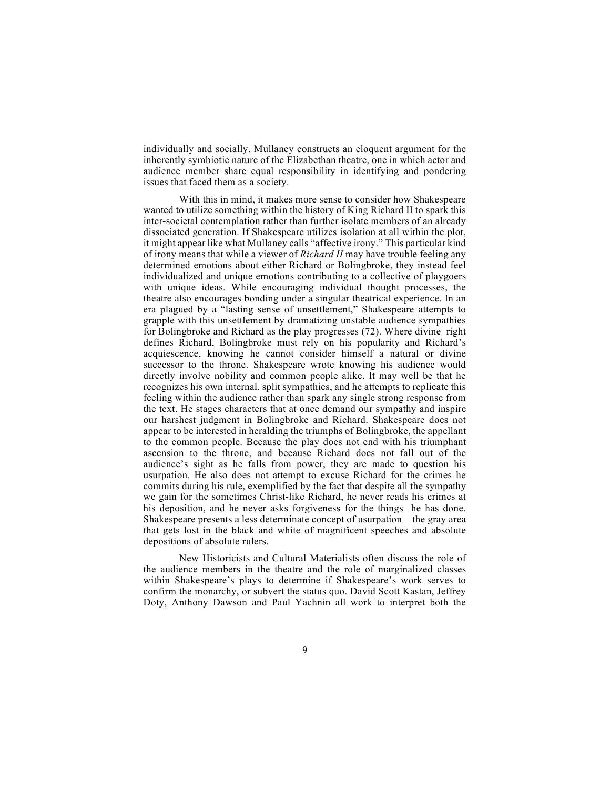individually and socially. Mullaney constructs an eloquent argument for the inherently symbiotic nature of the Elizabethan theatre, one in which actor and audience member share equal responsibility in identifying and pondering issues that faced them as a society.

With this in mind, it makes more sense to consider how Shakespeare wanted to utilize something within the history of King Richard II to spark this inter-societal contemplation rather than further isolate members of an already dissociated generation. If Shakespeare utilizes isolation at all within the plot, it might appear like what Mullaney calls "affective irony." This particular kind of irony means that while a viewer of *Richard II* may have trouble feeling any determined emotions about either Richard or Bolingbroke, they instead feel individualized and unique emotions contributing to a collective of playgoers with unique ideas. While encouraging individual thought processes, the theatre also encourages bonding under a singular theatrical experience. In an era plagued by a "lasting sense of unsettlement," Shakespeare attempts to grapple with this unsettlement by dramatizing unstable audience sympathies for Bolingbroke and Richard as the play progresses (72). Where divine right defines Richard, Bolingbroke must rely on his popularity and Richard's acquiescence, knowing he cannot consider himself a natural or divine successor to the throne. Shakespeare wrote knowing his audience would directly involve nobility and common people alike. It may well be that he recognizes his own internal, split sympathies, and he attempts to replicate this feeling within the audience rather than spark any single strong response from the text. He stages characters that at once demand our sympathy and inspire our harshest judgment in Bolingbroke and Richard. Shakespeare does not appear to be interested in heralding the triumphs of Bolingbroke, the appellant to the common people. Because the play does not end with his triumphant ascension to the throne, and because Richard does not fall out of the audience's sight as he falls from power, they are made to question his usurpation. He also does not attempt to excuse Richard for the crimes he commits during his rule, exemplified by the fact that despite all the sympathy we gain for the sometimes Christ-like Richard, he never reads his crimes at his deposition, and he never asks forgiveness for the things he has done. Shakespeare presents a less determinate concept of usurpation—the gray area that gets lost in the black and white of magnificent speeches and absolute depositions of absolute rulers.

New Historicists and Cultural Materialists often discuss the role of the audience members in the theatre and the role of marginalized classes within Shakespeare's plays to determine if Shakespeare's work serves to confirm the monarchy, or subvert the status quo. David Scott Kastan, Jeffrey Doty, Anthony Dawson and Paul Yachnin all work to interpret both the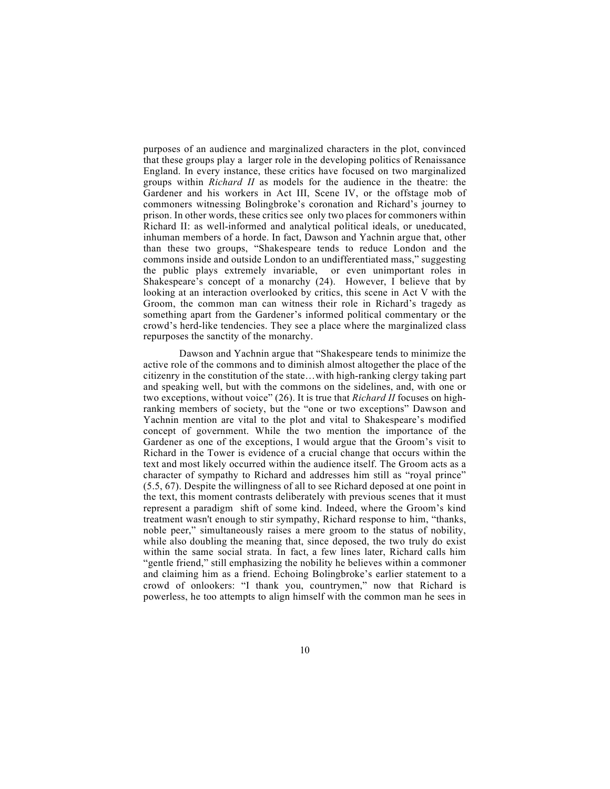purposes of an audience and marginalized characters in the plot, convinced that these groups play a larger role in the developing politics of Renaissance England. In every instance, these critics have focused on two marginalized groups within *Richard II* as models for the audience in the theatre: the Gardener and his workers in Act III, Scene IV, or the offstage mob of commoners witnessing Bolingbroke's coronation and Richard's journey to prison. In other words, these critics see only two places for commoners within Richard II: as well-informed and analytical political ideals, or uneducated, inhuman members of a horde. In fact, Dawson and Yachnin argue that, other than these two groups, "Shakespeare tends to reduce London and the commons inside and outside London to an undifferentiated mass," suggesting the public plays extremely invariable, or even unimportant roles in Shakespeare's concept of a monarchy (24). However, I believe that by looking at an interaction overlooked by critics, this scene in Act V with the Groom, the common man can witness their role in Richard's tragedy as something apart from the Gardener's informed political commentary or the crowd's herd-like tendencies. They see a place where the marginalized class repurposes the sanctity of the monarchy.

Dawson and Yachnin argue that "Shakespeare tends to minimize the active role of the commons and to diminish almost altogether the place of the citizenry in the constitution of the state…with high-ranking clergy taking part and speaking well, but with the commons on the sidelines, and, with one or two exceptions, without voice" (26). It is true that *Richard II* focuses on highranking members of society, but the "one or two exceptions" Dawson and Yachnin mention are vital to the plot and vital to Shakespeare's modified concept of government. While the two mention the importance of the Gardener as one of the exceptions, I would argue that the Groom's visit to Richard in the Tower is evidence of a crucial change that occurs within the text and most likely occurred within the audience itself. The Groom acts as a character of sympathy to Richard and addresses him still as "royal prince" (5.5, 67). Despite the willingness of all to see Richard deposed at one point in the text, this moment contrasts deliberately with previous scenes that it must represent a paradigm shift of some kind. Indeed, where the Groom's kind treatment wasn't enough to stir sympathy, Richard response to him, "thanks, noble peer," simultaneously raises a mere groom to the status of nobility, while also doubling the meaning that, since deposed, the two truly do exist within the same social strata. In fact, a few lines later, Richard calls him "gentle friend," still emphasizing the nobility he believes within a commoner and claiming him as a friend. Echoing Bolingbroke's earlier statement to a crowd of onlookers: "I thank you, countrymen," now that Richard is powerless, he too attempts to align himself with the common man he sees in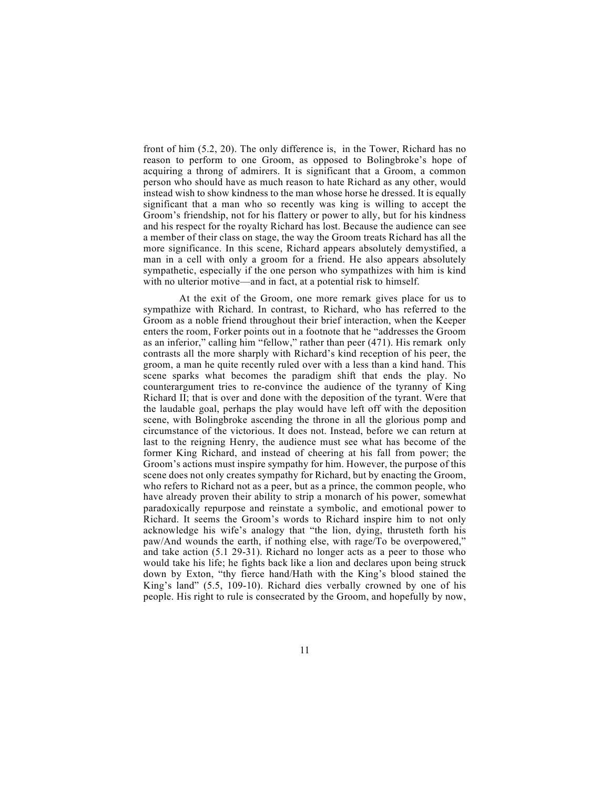front of him (5.2, 20). The only difference is, in the Tower, Richard has no reason to perform to one Groom, as opposed to Bolingbroke's hope of acquiring a throng of admirers. It is significant that a Groom, a common person who should have as much reason to hate Richard as any other, would instead wish to show kindness to the man whose horse he dressed. It is equally significant that a man who so recently was king is willing to accept the Groom's friendship, not for his flattery or power to ally, but for his kindness and his respect for the royalty Richard has lost. Because the audience can see a member of their class on stage, the way the Groom treats Richard has all the more significance. In this scene, Richard appears absolutely demystified, a man in a cell with only a groom for a friend. He also appears absolutely sympathetic, especially if the one person who sympathizes with him is kind with no ulterior motive—and in fact, at a potential risk to himself.

At the exit of the Groom, one more remark gives place for us to sympathize with Richard. In contrast, to Richard, who has referred to the Groom as a noble friend throughout their brief interaction, when the Keeper enters the room, Forker points out in a footnote that he "addresses the Groom as an inferior," calling him "fellow," rather than peer (471). His remark only contrasts all the more sharply with Richard's kind reception of his peer, the groom, a man he quite recently ruled over with a less than a kind hand. This scene sparks what becomes the paradigm shift that ends the play. No counterargument tries to re-convince the audience of the tyranny of King Richard II; that is over and done with the deposition of the tyrant. Were that the laudable goal, perhaps the play would have left off with the deposition scene, with Bolingbroke ascending the throne in all the glorious pomp and circumstance of the victorious. It does not. Instead, before we can return at last to the reigning Henry, the audience must see what has become of the former King Richard, and instead of cheering at his fall from power; the Groom's actions must inspire sympathy for him. However, the purpose of this scene does not only creates sympathy for Richard, but by enacting the Groom, who refers to Richard not as a peer, but as a prince, the common people, who have already proven their ability to strip a monarch of his power, somewhat paradoxically repurpose and reinstate a symbolic, and emotional power to Richard. It seems the Groom's words to Richard inspire him to not only acknowledge his wife's analogy that "the lion, dying, thrusteth forth his paw/And wounds the earth, if nothing else, with rage/To be overpowered," and take action (5.1 29-31). Richard no longer acts as a peer to those who would take his life; he fights back like a lion and declares upon being struck down by Exton, "thy fierce hand/Hath with the King's blood stained the King's land" (5.5, 109-10). Richard dies verbally crowned by one of his people. His right to rule is consecrated by the Groom, and hopefully by now,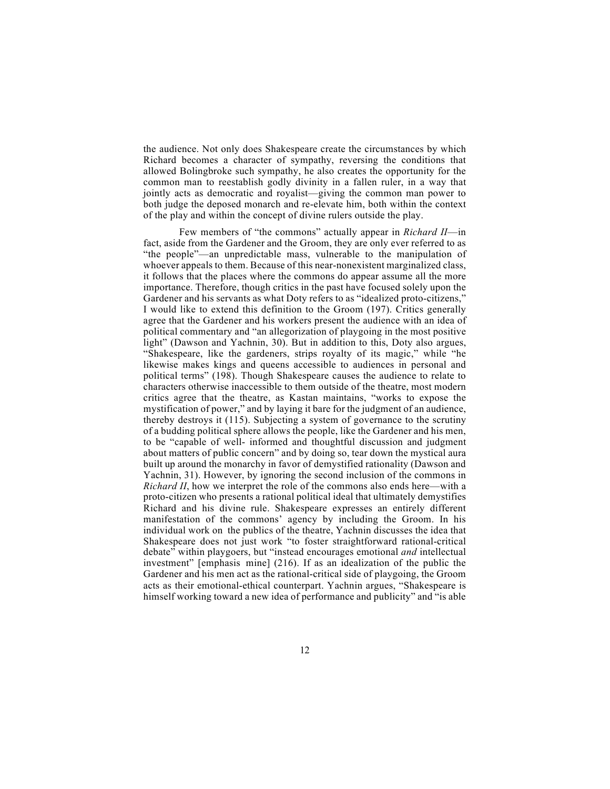the audience. Not only does Shakespeare create the circumstances by which Richard becomes a character of sympathy, reversing the conditions that allowed Bolingbroke such sympathy, he also creates the opportunity for the common man to reestablish godly divinity in a fallen ruler, in a way that jointly acts as democratic and royalist—giving the common man power to both judge the deposed monarch and re-elevate him, both within the context of the play and within the concept of divine rulers outside the play.

Few members of "the commons" actually appear in *Richard II*—in fact, aside from the Gardener and the Groom, they are only ever referred to as "the people"—an unpredictable mass, vulnerable to the manipulation of whoever appeals to them. Because of this near-nonexistent marginalized class, it follows that the places where the commons do appear assume all the more importance. Therefore, though critics in the past have focused solely upon the Gardener and his servants as what Doty refers to as "idealized proto-citizens," I would like to extend this definition to the Groom (197). Critics generally agree that the Gardener and his workers present the audience with an idea of political commentary and "an allegorization of playgoing in the most positive light" (Dawson and Yachnin, 30). But in addition to this, Doty also argues, "Shakespeare, like the gardeners, strips royalty of its magic," while "he likewise makes kings and queens accessible to audiences in personal and political terms" (198). Though Shakespeare causes the audience to relate to characters otherwise inaccessible to them outside of the theatre, most modern critics agree that the theatre, as Kastan maintains, "works to expose the mystification of power," and by laying it bare for the judgment of an audience, thereby destroys it (115). Subjecting a system of governance to the scrutiny of a budding political sphere allows the people, like the Gardener and his men, to be "capable of well- informed and thoughtful discussion and judgment about matters of public concern" and by doing so, tear down the mystical aura built up around the monarchy in favor of demystified rationality (Dawson and Yachnin, 31). However, by ignoring the second inclusion of the commons in *Richard II*, how we interpret the role of the commons also ends here—with a proto-citizen who presents a rational political ideal that ultimately demystifies Richard and his divine rule. Shakespeare expresses an entirely different manifestation of the commons' agency by including the Groom. In his individual work on the publics of the theatre, Yachnin discusses the idea that Shakespeare does not just work "to foster straightforward rational-critical debate" within playgoers, but "instead encourages emotional *and* intellectual investment" [emphasis mine] (216). If as an idealization of the public the Gardener and his men act as the rational-critical side of playgoing, the Groom acts as their emotional-ethical counterpart. Yachnin argues, "Shakespeare is himself working toward a new idea of performance and publicity" and "is able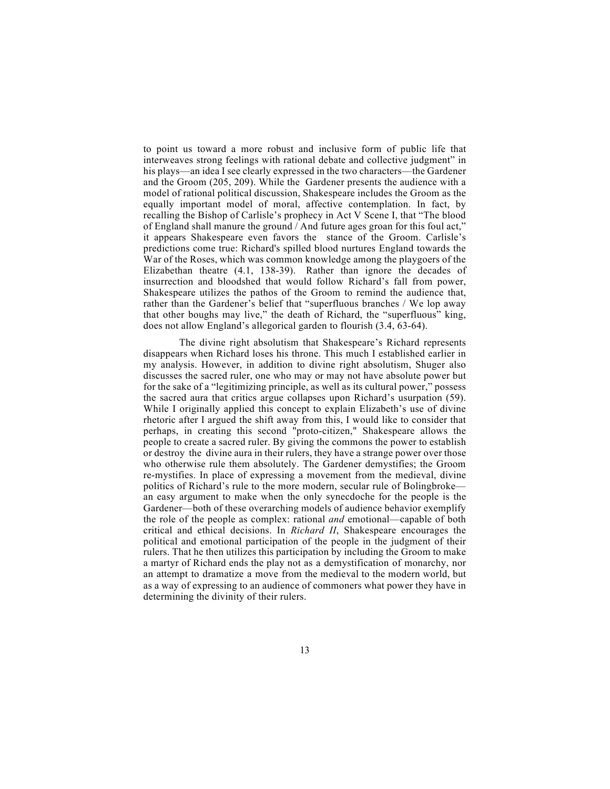to point us toward a more robust and inclusive form of public life that interweaves strong feelings with rational debate and collective judgment" in his plays—an idea I see clearly expressed in the two characters—the Gardener and the Groom (205, 209). While the Gardener presents the audience with a model of rational political discussion, Shakespeare includes the Groom as the equally important model of moral, affective contemplation. In fact, by recalling the Bishop of Carlisle's prophecy in Act V Scene I, that "The blood of England shall manure the ground / And future ages groan for this foul act," it appears Shakespeare even favors the stance of the Groom. Carlisle's predictions come true: Richard's spilled blood nurtures England towards the War of the Roses, which was common knowledge among the playgoers of the Elizabethan theatre (4.1, 138-39). Rather than ignore the decades of insurrection and bloodshed that would follow Richard's fall from power, Shakespeare utilizes the pathos of the Groom to remind the audience that, rather than the Gardener's belief that "superfluous branches / We lop away that other boughs may live," the death of Richard, the "superfluous" king, does not allow England's allegorical garden to flourish (3.4, 63-64).

The divine right absolutism that Shakespeare's Richard represents disappears when Richard loses his throne. This much I established earlier in my analysis. However, in addition to divine right absolutism, Shuger also discusses the sacred ruler, one who may or may not have absolute power but for the sake of a "legitimizing principle, as well as its cultural power," possess the sacred aura that critics argue collapses upon Richard's usurpation (59). While I originally applied this concept to explain Elizabeth's use of divine rhetoric after I argued the shift away from this, I would like to consider that perhaps, in creating this second "proto-citizen," Shakespeare allows the people to create a sacred ruler. By giving the commons the power to establish or destroy the divine aura in their rulers, they have a strange power over those who otherwise rule them absolutely. The Gardener demystifies; the Groom re-mystifies. In place of expressing a movement from the medieval, divine politics of Richard's rule to the more modern, secular rule of Bolingbroke an easy argument to make when the only synecdoche for the people is the Gardener—both of these overarching models of audience behavior exemplify the role of the people as complex: rational *and* emotional—capable of both critical and ethical decisions. In *Richard II*, Shakespeare encourages the political and emotional participation of the people in the judgment of their rulers. That he then utilizes this participation by including the Groom to make a martyr of Richard ends the play not as a demystification of monarchy, nor an attempt to dramatize a move from the medieval to the modern world, but as a way of expressing to an audience of commoners what power they have in determining the divinity of their rulers.